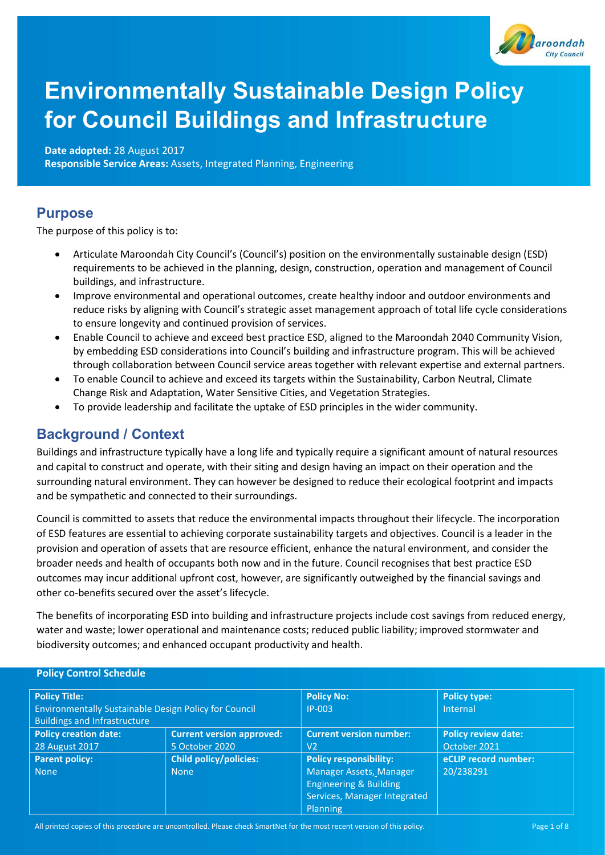

# Environmentally Sustainable Design Policy for Council Buildings and Infrastructure

Date adopted: 28 August 2017

Responsible Service Areas: Assets, Integrated Planning, Engineering

### Purpose

The purpose of this policy is to:

- Articulate Maroondah City Council's (Council's) position on the environmentally sustainable design (ESD) requirements to be achieved in the planning, design, construction, operation and management of Council buildings, and infrastructure.
- Improve environmental and operational outcomes, create healthy indoor and outdoor environments and reduce risks by aligning with Council's strategic asset management approach of total life cycle considerations to ensure longevity and continued provision of services.
- Enable Council to achieve and exceed best practice ESD, aligned to the Maroondah 2040 Community Vision, by embedding ESD considerations into Council's building and infrastructure program. This will be achieved through collaboration between Council service areas together with relevant expertise and external partners.
- To enable Council to achieve and exceed its targets within the Sustainability, Carbon Neutral, Climate Change Risk and Adaptation, Water Sensitive Cities, and Vegetation Strategies.
- To provide leadership and facilitate the uptake of ESD principles in the wider community.

# Background / Context

Buildings and infrastructure typically have a long life and typically require a significant amount of natural resources and capital to construct and operate, with their siting and design having an impact on their operation and the surrounding natural environment. They can however be designed to reduce their ecological footprint and impacts and be sympathetic and connected to their surroundings.

Council is committed to assets that reduce the environmental impacts throughout their lifecycle. The incorporation of ESD features are essential to achieving corporate sustainability targets and objectives. Council is a leader in the provision and operation of assets that are resource efficient, enhance the natural environment, and consider the broader needs and health of occupants both now and in the future. Council recognises that best practice ESD outcomes may incur additional upfront cost, however, are significantly outweighed by the financial savings and other co-benefits secured over the asset's lifecycle.

The benefits of incorporating ESD into building and infrastructure projects include cost savings from reduced energy, water and waste; lower operational and maintenance costs; reduced public liability; improved stormwater and biodiversity outcomes; and enhanced occupant productivity and health.

| <b>FUILY CUILIUI JUICUUIC</b>                         |                                  |                                   |                            |  |  |  |
|-------------------------------------------------------|----------------------------------|-----------------------------------|----------------------------|--|--|--|
| <b>Policy Title:</b>                                  |                                  | <b>Policy No:</b>                 | <b>Policy type:</b>        |  |  |  |
| Environmentally Sustainable Design Policy for Council |                                  | $IP-003$                          | Internal                   |  |  |  |
| <b>Buildings and Infrastructure</b>                   |                                  |                                   |                            |  |  |  |
| <b>Policy creation date:</b>                          | <b>Current version approved:</b> | <b>Current version number:</b>    | <b>Policy review date:</b> |  |  |  |
| 28 August 2017                                        | 5 October 2020                   | V2                                | October 2021               |  |  |  |
| <b>Parent policy:</b>                                 | <b>Child policy/policies:</b>    | <b>Policy responsibility:</b>     | eCLIP record number:       |  |  |  |
| <b>None</b>                                           | <b>None</b>                      | Manager Assets, Manager           | 20/238291                  |  |  |  |
|                                                       |                                  | <b>Engineering &amp; Building</b> |                            |  |  |  |
|                                                       |                                  | Services, Manager Integrated      |                            |  |  |  |
|                                                       |                                  | Planning                          |                            |  |  |  |

### Policy Control Schedule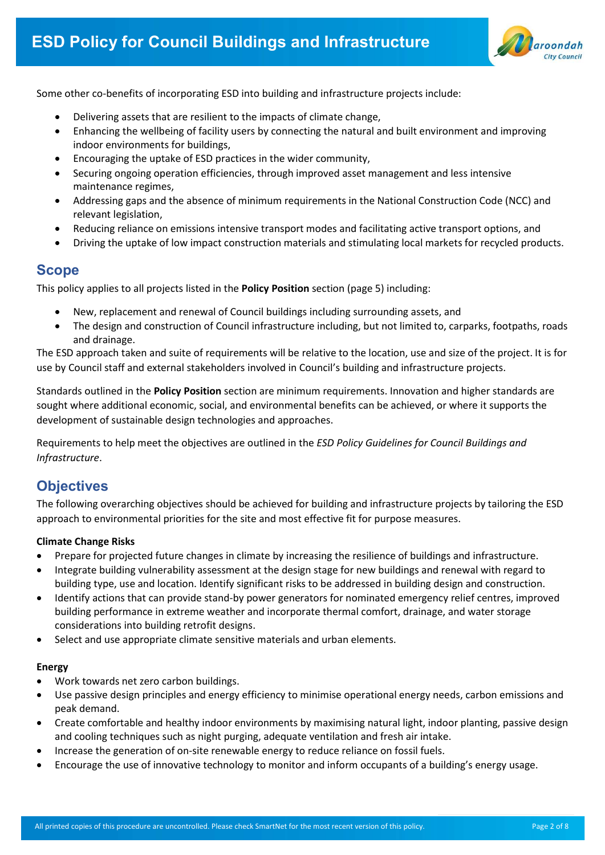Some other co-benefits of incorporating ESD into building and infrastructure projects include:

- Delivering assets that are resilient to the impacts of climate change,
- Enhancing the wellbeing of facility users by connecting the natural and built environment and improving indoor environments for buildings,
- Encouraging the uptake of ESD practices in the wider community,
- Securing ongoing operation efficiencies, through improved asset management and less intensive maintenance regimes,
- Addressing gaps and the absence of minimum requirements in the National Construction Code (NCC) and relevant legislation,
- Reducing reliance on emissions intensive transport modes and facilitating active transport options, and
- Driving the uptake of low impact construction materials and stimulating local markets for recycled products.

### Scope

This policy applies to all projects listed in the Policy Position section (page 5) including:

- New, replacement and renewal of Council buildings including surrounding assets, and
- The design and construction of Council infrastructure including, but not limited to, carparks, footpaths, roads and drainage.

The ESD approach taken and suite of requirements will be relative to the location, use and size of the project. It is for use by Council staff and external stakeholders involved in Council's building and infrastructure projects.

Standards outlined in the Policy Position section are minimum requirements. Innovation and higher standards are sought where additional economic, social, and environmental benefits can be achieved, or where it supports the development of sustainable design technologies and approaches.

Requirements to help meet the objectives are outlined in the ESD Policy Guidelines for Council Buildings and Infrastructure.

# **Objectives**

The following overarching objectives should be achieved for building and infrastructure projects by tailoring the ESD approach to environmental priorities for the site and most effective fit for purpose measures.

### Climate Change Risks

- Prepare for projected future changes in climate by increasing the resilience of buildings and infrastructure.
- Integrate building vulnerability assessment at the design stage for new buildings and renewal with regard to building type, use and location. Identify significant risks to be addressed in building design and construction.
- Identify actions that can provide stand-by power generators for nominated emergency relief centres, improved building performance in extreme weather and incorporate thermal comfort, drainage, and water storage considerations into building retrofit designs.
- Select and use appropriate climate sensitive materials and urban elements.

#### Energy

- Work towards net zero carbon buildings.
- Use passive design principles and energy efficiency to minimise operational energy needs, carbon emissions and peak demand.
- Create comfortable and healthy indoor environments by maximising natural light, indoor planting, passive design and cooling techniques such as night purging, adequate ventilation and fresh air intake.
- Increase the generation of on-site renewable energy to reduce reliance on fossil fuels.
- Encourage the use of innovative technology to monitor and inform occupants of a building's energy usage.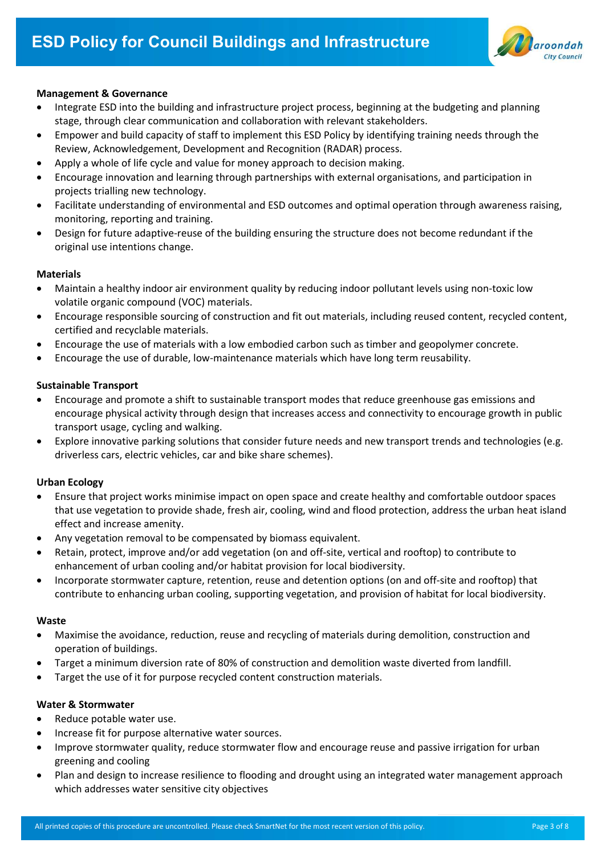

#### Management & Governance

- Integrate ESD into the building and infrastructure project process, beginning at the budgeting and planning stage, through clear communication and collaboration with relevant stakeholders.
- Empower and build capacity of staff to implement this ESD Policy by identifying training needs through the Review, Acknowledgement, Development and Recognition (RADAR) process.
- Apply a whole of life cycle and value for money approach to decision making.
- Encourage innovation and learning through partnerships with external organisations, and participation in projects trialling new technology.
- Facilitate understanding of environmental and ESD outcomes and optimal operation through awareness raising, monitoring, reporting and training.
- Design for future adaptive-reuse of the building ensuring the structure does not become redundant if the original use intentions change.

#### Materials

- Maintain a healthy indoor air environment quality by reducing indoor pollutant levels using non-toxic low volatile organic compound (VOC) materials.
- Encourage responsible sourcing of construction and fit out materials, including reused content, recycled content, certified and recyclable materials.
- Encourage the use of materials with a low embodied carbon such as timber and geopolymer concrete.
- Encourage the use of durable, low-maintenance materials which have long term reusability.

#### Sustainable Transport

- Encourage and promote a shift to sustainable transport modes that reduce greenhouse gas emissions and encourage physical activity through design that increases access and connectivity to encourage growth in public transport usage, cycling and walking.
- Explore innovative parking solutions that consider future needs and new transport trends and technologies (e.g. driverless cars, electric vehicles, car and bike share schemes).

### Urban Ecology

- Ensure that project works minimise impact on open space and create healthy and comfortable outdoor spaces that use vegetation to provide shade, fresh air, cooling, wind and flood protection, address the urban heat island effect and increase amenity.
- Any vegetation removal to be compensated by biomass equivalent.
- Retain, protect, improve and/or add vegetation (on and off-site, vertical and rooftop) to contribute to enhancement of urban cooling and/or habitat provision for local biodiversity.
- Incorporate stormwater capture, retention, reuse and detention options (on and off-site and rooftop) that contribute to enhancing urban cooling, supporting vegetation, and provision of habitat for local biodiversity.

#### Waste

- Maximise the avoidance, reduction, reuse and recycling of materials during demolition, construction and operation of buildings.
- Target a minimum diversion rate of 80% of construction and demolition waste diverted from landfill.
- Target the use of it for purpose recycled content construction materials.

#### Water & Stormwater

- Reduce potable water use.
- Increase fit for purpose alternative water sources.
- Improve stormwater quality, reduce stormwater flow and encourage reuse and passive irrigation for urban greening and cooling
- Plan and design to increase resilience to flooding and drought using an integrated water management approach which addresses water sensitive city objectives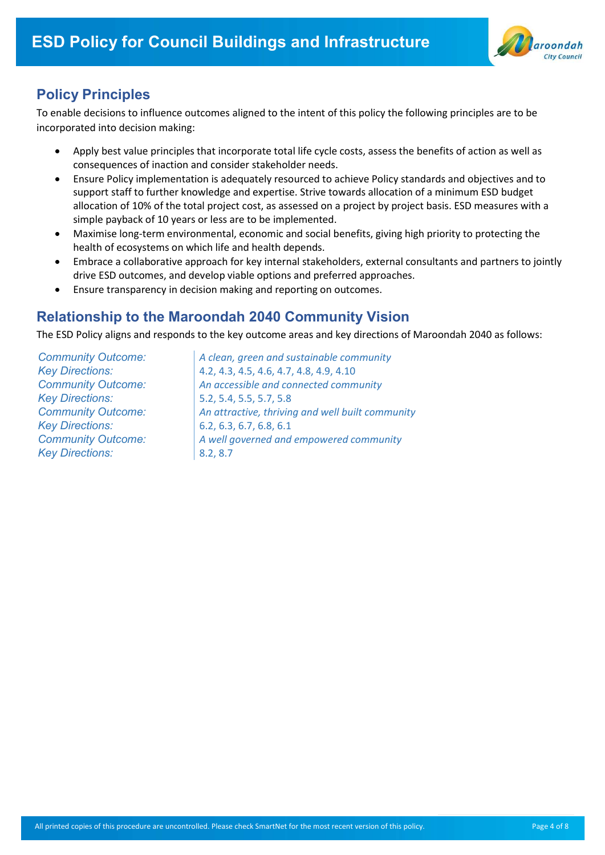

# Policy Principles

To enable decisions to influence outcomes aligned to the intent of this policy the following principles are to be incorporated into decision making:

- Apply best value principles that incorporate total life cycle costs, assess the benefits of action as well as consequences of inaction and consider stakeholder needs.
- Ensure Policy implementation is adequately resourced to achieve Policy standards and objectives and to support staff to further knowledge and expertise. Strive towards allocation of a minimum ESD budget allocation of 10% of the total project cost, as assessed on a project by project basis. ESD measures with a simple payback of 10 years or less are to be implemented.
- Maximise long-term environmental, economic and social benefits, giving high priority to protecting the health of ecosystems on which life and health depends.
- Embrace a collaborative approach for key internal stakeholders, external consultants and partners to jointly drive ESD outcomes, and develop viable options and preferred approaches.
- Ensure transparency in decision making and reporting on outcomes.

### Relationship to the Maroondah 2040 Community Vision

The ESD Policy aligns and responds to the key outcome areas and key directions of Maroondah 2040 as follows:

Key Directions: 5.2, 5.4, 5.5, 5.7, 5.8 Key Directions: 6.2, 6.3, 6.7, 6.8, 6.1 Key Directions: 8.2, 8.7

Community Outcome:  $\vert$  A clean, green and sustainable community Key Directions: 4.2, 4.3, 4.5, 4.6, 4.7, 4.8, 4.9, 4.10 Community Outcome: An accessible and connected community Community Outcome: An attractive, thriving and well built community Community Outcome:  $\vert$  A well governed and empowered community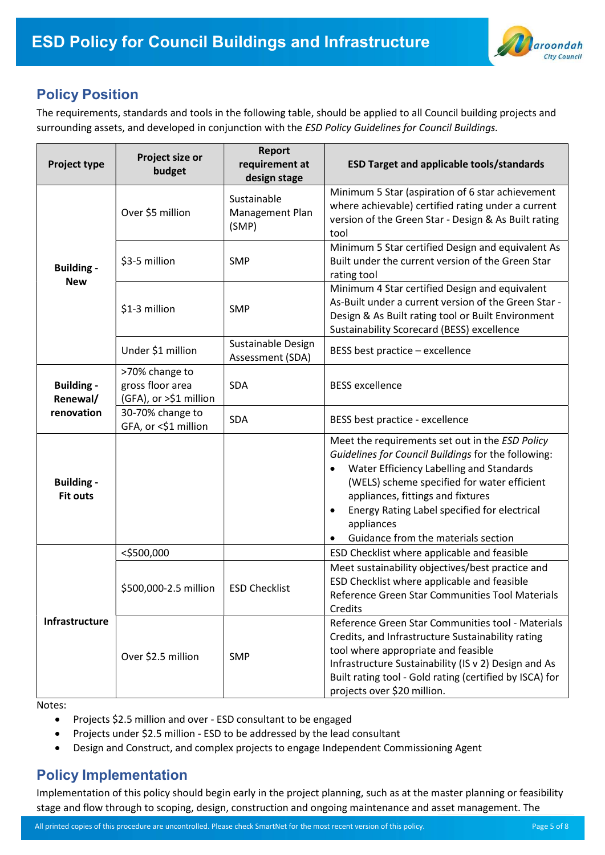

### Policy Position

The requirements, standards and tools in the following table, should be applied to all Council building projects and surrounding assets, and developed in conjunction with the ESD Policy Guidelines for Council Buildings.

| <b>Project type</b>                  | Project size or<br>budget                                    | <b>Report</b><br>requirement at<br>design stage | <b>ESD Target and applicable tools/standards</b>                                                                                                                                                                                                                                                                                                                      |
|--------------------------------------|--------------------------------------------------------------|-------------------------------------------------|-----------------------------------------------------------------------------------------------------------------------------------------------------------------------------------------------------------------------------------------------------------------------------------------------------------------------------------------------------------------------|
|                                      | Over \$5 million                                             | Sustainable<br>Management Plan<br>(SMP)         | Minimum 5 Star (aspiration of 6 star achievement<br>where achievable) certified rating under a current<br>version of the Green Star - Design & As Built rating<br>tool                                                                                                                                                                                                |
| <b>Building -</b><br><b>New</b>      | \$3-5 million                                                | <b>SMP</b>                                      | Minimum 5 Star certified Design and equivalent As<br>Built under the current version of the Green Star<br>rating tool                                                                                                                                                                                                                                                 |
|                                      | \$1-3 million                                                | <b>SMP</b>                                      | Minimum 4 Star certified Design and equivalent<br>As-Built under a current version of the Green Star -<br>Design & As Built rating tool or Built Environment<br>Sustainability Scorecard (BESS) excellence                                                                                                                                                            |
|                                      | Under \$1 million                                            | Sustainable Design<br>Assessment (SDA)          | BESS best practice - excellence                                                                                                                                                                                                                                                                                                                                       |
| <b>Building -</b><br>Renewal/        | >70% change to<br>gross floor area<br>(GFA), or >\$1 million | SDA                                             | <b>BESS</b> excellence                                                                                                                                                                                                                                                                                                                                                |
| renovation                           | 30-70% change to<br>GFA, or <\$1 million                     | <b>SDA</b>                                      | BESS best practice - excellence                                                                                                                                                                                                                                                                                                                                       |
| <b>Building -</b><br><b>Fit outs</b> |                                                              |                                                 | Meet the requirements set out in the ESD Policy<br>Guidelines for Council Buildings for the following:<br>Water Efficiency Labelling and Standards<br>$\bullet$<br>(WELS) scheme specified for water efficient<br>appliances, fittings and fixtures<br>Energy Rating Label specified for electrical<br>$\bullet$<br>appliances<br>Guidance from the materials section |
|                                      | <\$500,000                                                   |                                                 | ESD Checklist where applicable and feasible                                                                                                                                                                                                                                                                                                                           |
| Infrastructure                       | \$500,000-2.5 million                                        | <b>ESD Checklist</b>                            | Meet sustainability objectives/best practice and<br>ESD Checklist where applicable and feasible<br>Reference Green Star Communities Tool Materials<br>Credits                                                                                                                                                                                                         |
|                                      | Over \$2.5 million                                           | <b>SMP</b>                                      | Reference Green Star Communities tool - Materials<br>Credits, and Infrastructure Sustainability rating<br>tool where appropriate and feasible<br>Infrastructure Sustainability (IS v 2) Design and As<br>Built rating tool - Gold rating (certified by ISCA) for<br>projects over \$20 million.                                                                       |

Notes:

- Projects \$2.5 million and over ESD consultant to be engaged
- Projects under \$2.5 million ESD to be addressed by the lead consultant
- Design and Construct, and complex projects to engage Independent Commissioning Agent

### Policy Implementation

Implementation of this policy should begin early in the project planning, such as at the master planning or feasibility stage and flow through to scoping, design, construction and ongoing maintenance and asset management. The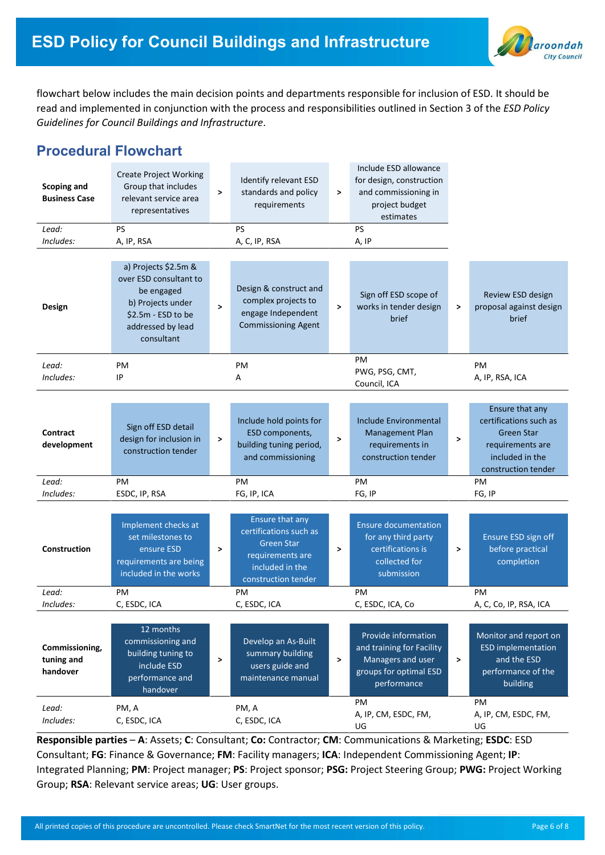

flowchart below includes the main decision points and departments responsible for inclusion of ESD. It should be read and implemented in conjunction with the process and responsibilities outlined in Section 3 of the ESD Policy Guidelines for Council Buildings and Infrastructure.

# Procedural Flowchart

| <b>Scoping and</b><br><b>Business Case</b><br>Lead:<br>Includes: | <b>Create Project Working</b><br>Group that includes<br>relevant service area<br>representatives<br><b>PS</b><br>A, IP, RSA                | $\geq$ | Identify relevant ESD<br>standards and policy<br>requirements<br>PS<br>A, C, IP, RSA                                         | >            | Include ESD allowance<br>for design, construction<br>and commissioning in<br>project budget<br>estimates<br>PS<br>A, IP |              |                                                                                                                              |
|------------------------------------------------------------------|--------------------------------------------------------------------------------------------------------------------------------------------|--------|------------------------------------------------------------------------------------------------------------------------------|--------------|-------------------------------------------------------------------------------------------------------------------------|--------------|------------------------------------------------------------------------------------------------------------------------------|
| Design                                                           | a) Projects \$2.5m &<br>over ESD consultant to<br>be engaged<br>b) Projects under<br>\$2.5m - ESD to be<br>addressed by lead<br>consultant | $\geq$ | Design & construct and<br>complex projects to<br>engage Independent<br><b>Commissioning Agent</b>                            | >            | Sign off ESD scope of<br>works in tender design<br>brief                                                                | >            | Review ESD design<br>proposal against design<br>brief                                                                        |
| Lead:<br>Includes:                                               | PM<br>IP                                                                                                                                   |        | PM<br>А                                                                                                                      |              | PM<br>PWG, PSG, CMT,<br>Council, ICA                                                                                    |              | PM<br>A, IP, RSA, ICA                                                                                                        |
| <b>Contract</b><br>development                                   | Sign off ESD detail<br>design for inclusion in<br>construction tender                                                                      | $\geq$ | Include hold points for<br>ESD components,<br>building tuning period,<br>and commissioning                                   | >            | Include Environmental<br><b>Management Plan</b><br>requirements in<br>construction tender                               | $\geq$       | Ensure that any<br>certifications such as<br><b>Green Star</b><br>requirements are<br>included in the<br>construction tender |
| Lead:<br>Includes:                                               | PM                                                                                                                                         |        | PM<br>FG, IP, ICA                                                                                                            | PM<br>FG, IP |                                                                                                                         | PM<br>FG, IP |                                                                                                                              |
| <b>Construction</b>                                              | ESDC, IP, RSA<br>Implement checks at<br>set milestones to<br>ensure ESD<br>requirements are being<br>included in the works                 | $\geq$ | Ensure that any<br>certifications such as<br><b>Green Star</b><br>requirements are<br>included in the<br>construction tender | $\,>\,$      | <b>Ensure documentation</b><br>for any third party<br>certifications is<br>collected for<br>submission                  | >            | Ensure ESD sign off<br>before practical<br>completion                                                                        |
| Lead:<br>Includes:                                               | PM.<br>C, ESDC, ICA                                                                                                                        |        | PM.<br>C, ESDC, ICA                                                                                                          |              | PM<br>C, ESDC, ICA, Co                                                                                                  |              | PM<br>A, C, Co, IP, RSA, ICA                                                                                                 |
| Commissioning,<br>tuning and<br>handover                         | 12 months<br>commissioning and<br>building tuning to<br>include ESD<br>performance and<br>handover                                         | $\geq$ | Develop an As-Built<br>summary building<br>users guide and<br>maintenance manual                                             | $\mathbf{L}$ | Provide information<br>and training for Facility<br>Managers and user<br>groups for optimal ESD<br>performance          | $\,$         | Monitor and report on<br><b>ESD</b> implementation<br>and the ESD<br>performance of the<br>building                          |
| Lead:<br>Includes:                                               | PM, A<br>C, ESDC, ICA                                                                                                                      |        | PM, A<br>C, ESDC, ICA                                                                                                        |              | PM<br>A, IP, CM, ESDC, FM,<br>UG                                                                                        |              | PM<br>A, IP, CM, ESDC, FM,<br>UG                                                                                             |

Responsible parties – A: Assets; C: Consultant; Co: Contractor; CM: Communications & Marketing; ESDC: ESD Consultant; FG: Finance & Governance; FM: Facility managers; ICA: Independent Commissioning Agent; IP: Integrated Planning; PM: Project manager; PS: Project sponsor; PSG: Project Steering Group; PWG: Project Working Group; RSA: Relevant service areas; UG: User groups.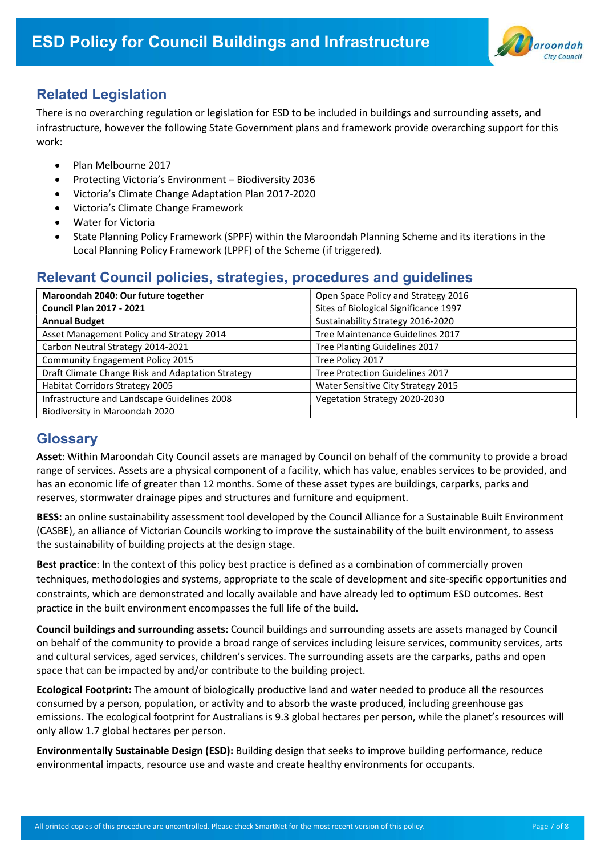

# Related Legislation

There is no overarching regulation or legislation for ESD to be included in buildings and surrounding assets, and infrastructure, however the following State Government plans and framework provide overarching support for this work:

- Plan Melbourne 2017
- Protecting Victoria's Environment Biodiversity 2036
- Victoria's Climate Change Adaptation Plan 2017-2020
- Victoria's Climate Change Framework
- Water for Victoria
- State Planning Policy Framework (SPPF) within the Maroondah Planning Scheme and its iterations in the Local Planning Policy Framework (LPPF) of the Scheme (if triggered).

### Relevant Council policies, strategies, procedures and guidelines

| Maroondah 2040: Our future together               | Open Space Policy and Strategy 2016   |  |  |  |
|---------------------------------------------------|---------------------------------------|--|--|--|
| <b>Council Plan 2017 - 2021</b>                   | Sites of Biological Significance 1997 |  |  |  |
| <b>Annual Budget</b>                              | Sustainability Strategy 2016-2020     |  |  |  |
| Asset Management Policy and Strategy 2014         | Tree Maintenance Guidelines 2017      |  |  |  |
| Carbon Neutral Strategy 2014-2021                 | Tree Planting Guidelines 2017         |  |  |  |
| <b>Community Engagement Policy 2015</b>           | Tree Policy 2017                      |  |  |  |
| Draft Climate Change Risk and Adaptation Strategy | Tree Protection Guidelines 2017       |  |  |  |
| Habitat Corridors Strategy 2005                   | Water Sensitive City Strategy 2015    |  |  |  |
| Infrastructure and Landscape Guidelines 2008      | Vegetation Strategy 2020-2030         |  |  |  |
| Biodiversity in Maroondah 2020                    |                                       |  |  |  |

### **Glossary**

Asset: Within Maroondah City Council assets are managed by Council on behalf of the community to provide a broad range of services. Assets are a physical component of a facility, which has value, enables services to be provided, and has an economic life of greater than 12 months. Some of these asset types are buildings, carparks, parks and reserves, stormwater drainage pipes and structures and furniture and equipment.

BESS: an online sustainability assessment tool developed by the Council Alliance for a Sustainable Built Environment (CASBE), an alliance of Victorian Councils working to improve the sustainability of the built environment, to assess the sustainability of building projects at the design stage.

Best practice: In the context of this policy best practice is defined as a combination of commercially proven techniques, methodologies and systems, appropriate to the scale of development and site-specific opportunities and constraints, which are demonstrated and locally available and have already led to optimum ESD outcomes. Best practice in the built environment encompasses the full life of the build.

Council buildings and surrounding assets: Council buildings and surrounding assets are assets managed by Council on behalf of the community to provide a broad range of services including leisure services, community services, arts and cultural services, aged services, children's services. The surrounding assets are the carparks, paths and open space that can be impacted by and/or contribute to the building project.

Ecological Footprint: The amount of biologically productive land and water needed to produce all the resources consumed by a person, population, or activity and to absorb the waste produced, including greenhouse gas emissions. The ecological footprint for Australians is 9.3 global hectares per person, while the planet's resources will only allow 1.7 global hectares per person.

Environmentally Sustainable Design (ESD): Building design that seeks to improve building performance, reduce environmental impacts, resource use and waste and create healthy environments for occupants.